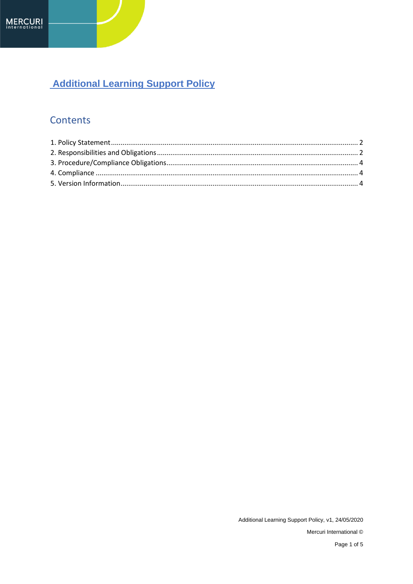# **Additional Learning Support Policy**

## Contents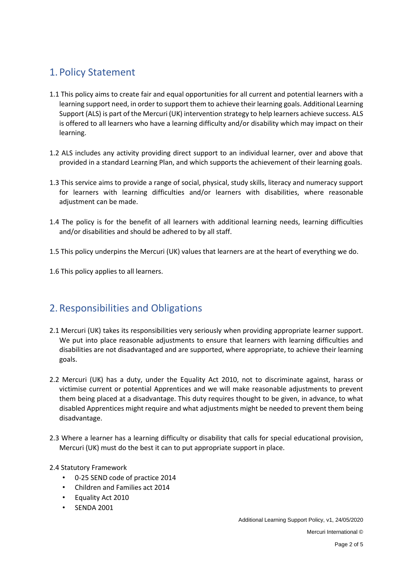### <span id="page-1-0"></span>1. Policy Statement

- 1.1 This policy aims to create fair and equal opportunities for all current and potential learners with a learning support need, in order to support them to achieve their learning goals. Additional Learning Support (ALS) is part of the Mercuri (UK) intervention strategy to help learners achieve success. ALS is offered to all learners who have a learning difficulty and/or disability which may impact on their learning.
- 1.2 ALS includes any activity providing direct support to an individual learner, over and above that provided in a standard Learning Plan, and which supports the achievement of their learning goals.
- 1.3 This service aims to provide a range of social, physical, study skills, literacy and numeracy support for learners with learning difficulties and/or learners with disabilities, where reasonable adjustment can be made.
- 1.4 The policy is for the benefit of all learners with additional learning needs, learning difficulties and/or disabilities and should be adhered to by all staff.
- 1.5 This policy underpins the Mercuri (UK) values that learners are at the heart of everything we do.
- 1.6 This policy applies to all learners.

#### <span id="page-1-1"></span>2.Responsibilities and Obligations

- 2.1 Mercuri (UK) takes its responsibilities very seriously when providing appropriate learner support. We put into place reasonable adjustments to ensure that learners with learning difficulties and disabilities are not disadvantaged and are supported, where appropriate, to achieve their learning goals.
- 2.2 Mercuri (UK) has a duty, under the Equality Act 2010, not to discriminate against, harass or victimise current or potential Apprentices and we will make reasonable adjustments to prevent them being placed at a disadvantage. This duty requires thought to be given, in advance, to what disabled Apprentices might require and what adjustments might be needed to prevent them being disadvantage.
- 2.3 Where a learner has a learning difficulty or disability that calls for special educational provision, Mercuri (UK) must do the best it can to put appropriate support in place.
- 2.4 Statutory Framework
	- 0-25 SEND code of practice 2014
	- Children and Families act 2014
	- Equality Act 2010
	- SENDA 2001

Additional Learning Support Policy, v1, 24/05/2020 Mercuri International ©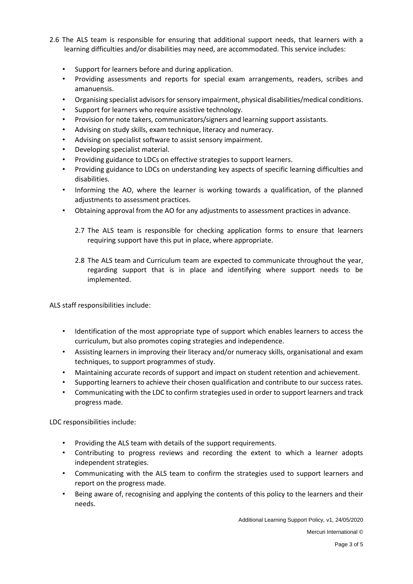- 2.6 The ALS team is responsible for ensuring that additional support needs, that learners with a learning difficulties and/or disabilities may need, are accommodated. This service includes:
	- Support for learners before and during application.
	- Providing assessments and reports for special exam arrangements, readers, scribes and amanuensis.
	- Organising specialist advisors for sensory impairment, physical disabilities/medical conditions.
	- Support for learners who require assistive technology.
	- Provision for note takers, communicators/signers and learning support assistants.
	- Advising on study skills, exam technique, literacy and numeracy.
	- Advising on specialist software to assist sensory impairment.
	- Developing specialist material.
	- Providing guidance to LDCs on effective strategies to support learners.
	- Providing guidance to LDCs on understanding key aspects of specific learning difficulties and disabilities.
	- Informing the AO, where the learner is working towards a qualification, of the planned adjustments to assessment practices.
	- Obtaining approval from the AO for any adjustments to assessment practices in advance.
		- 2.7 The ALS team is responsible for checking application forms to ensure that learners requiring support have this put in place, where appropriate.
		- 2.8 The ALS team and Curriculum team are expected to communicate throughout the year, regarding support that is in place and identifying where support needs to be implemented.

ALS staff responsibilities include:

- Identification of the most appropriate type of support which enables learners to access the curriculum, but also promotes coping strategies and independence.
- Assisting learners in improving their literacy and/or numeracy skills, organisational and exam techniques, to support programmes of study.
- Maintaining accurate records of support and impact on student retention and achievement.
- Supporting learners to achieve their chosen qualification and contribute to our success rates.
- Communicating with the LDC to confirm strategies used in order to support learners and track progress made.

LDC responsibilities include:

- Providing the ALS team with details of the support requirements.
- Contributing to progress reviews and recording the extent to which a learner adopts independent strategies.
- Communicating with the ALS team to confirm the strategies used to support learners and report on the progress made.
- Being aware of, recognising and applying the contents of this policy to the learners and their needs.

Additional Learning Support Policy, v1, 24/05/2020

Mercuri International ©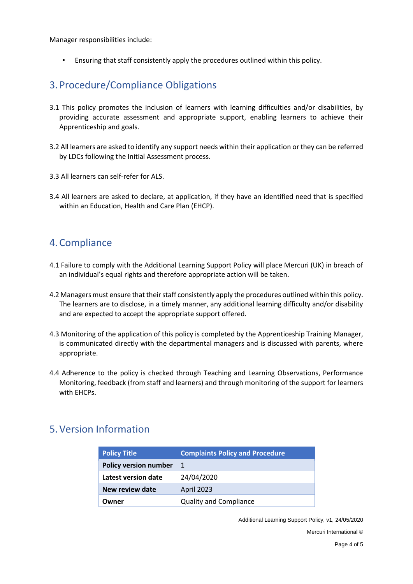Manager responsibilities include:

• Ensuring that staff consistently apply the procedures outlined within this policy.

#### <span id="page-3-0"></span>3. Procedure/Compliance Obligations

- 3.1 This policy promotes the inclusion of learners with learning difficulties and/or disabilities, by providing accurate assessment and appropriate support, enabling learners to achieve their Apprenticeship and goals.
- 3.2 All learners are asked to identify any support needs within their application or they can be referred by LDCs following the Initial Assessment process.
- 3.3 All learners can self-refer for ALS.
- 3.4 All learners are asked to declare, at application, if they have an identified need that is specified within an Education, Health and Care Plan (EHCP).

#### <span id="page-3-1"></span>4.Compliance

- 4.1 Failure to comply with the Additional Learning Support Policy will place Mercuri (UK) in breach of an individual's equal rights and therefore appropriate action will be taken.
- 4.2 Managers must ensure that their staff consistently apply the procedures outlined within this policy. The learners are to disclose, in a timely manner, any additional learning difficulty and/or disability and are expected to accept the appropriate support offered*.*
- 4.3 Monitoring of the application of this policy is completed by the Apprenticeship Training Manager, is communicated directly with the departmental managers and is discussed with parents, where appropriate.
- 4.4 Adherence to the policy is checked through Teaching and Learning Observations, Performance Monitoring, feedback (from staff and learners) and through monitoring of the support for learners with EHCPs.

#### <span id="page-3-2"></span>5.Version Information

| <b>Policy Title</b>          | <b>Complaints Policy and Procedure</b> |  |
|------------------------------|----------------------------------------|--|
| <b>Policy version number</b> | 1                                      |  |
| Latest version date          | 24/04/2020                             |  |
| <b>New review date</b>       | <b>April 2023</b>                      |  |
| Owner                        | <b>Quality and Compliance</b>          |  |

Additional Learning Support Policy, v1, 24/05/2020

Mercuri International ©